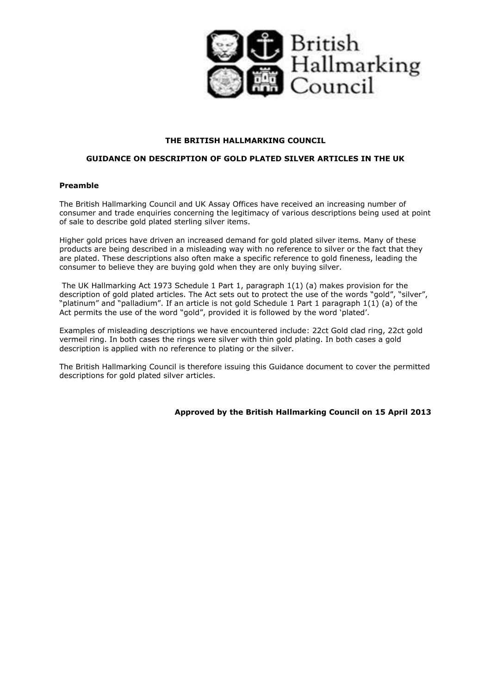

## **THE BRITISH HALLMARKING COUNCIL**

# **GUIDANCE ON DESCRIPTION OF GOLD PLATED SILVER ARTICLES IN THE UK**

## **Preamble**

The British Hallmarking Council and UK Assay Offices have received an increasing number of consumer and trade enquiries concerning the legitimacy of various descriptions being used at point of sale to describe gold plated sterling silver items.

Higher gold prices have driven an increased demand for gold plated silver items. Many of these products are being described in a misleading way with no reference to silver or the fact that they are plated. These descriptions also often make a specific reference to gold fineness, leading the consumer to believe they are buying gold when they are only buying silver.

The UK Hallmarking Act 1973 Schedule 1 Part 1, paragraph 1(1) (a) makes provision for the description of gold plated articles. The Act sets out to protect the use of the words "gold", "silver", "platinum" and "palladium". If an article is not gold Schedule 1 Part 1 paragraph 1(1) (a) of the Act permits the use of the word "gold", provided it is followed by the word 'plated'.

Examples of misleading descriptions we have encountered include: 22ct Gold clad ring, 22ct gold vermeil ring. In both cases the rings were silver with thin gold plating. In both cases a gold description is applied with no reference to plating or the silver.

The British Hallmarking Council is therefore issuing this Guidance document to cover the permitted descriptions for gold plated silver articles.

**Approved by the British Hallmarking Council on 15 April 2013**